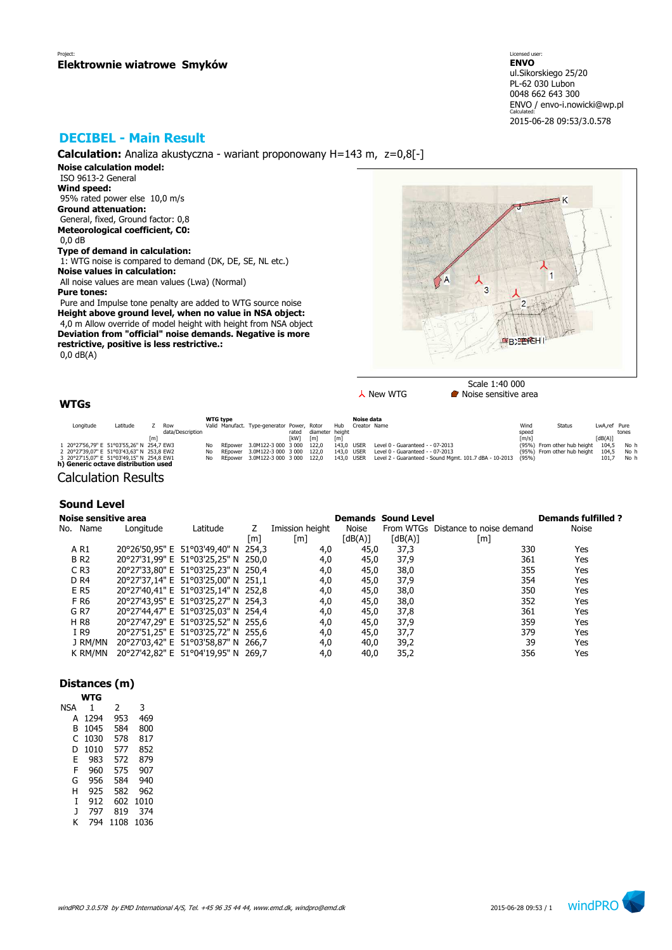# **DECIBEL - Main Result**

**Calculation:** Analiza akustyczna - wariant proponowany H=143 m, z=0,8[-]

**Noise calculation model:** ISO 9613-2 General **Wind speed:** 95% rated power else 10,0 m/s **Ground attenuation:** General, fixed, Ground factor: 0,8 **Meteorological coefficient, C0:** 0,0 dB **Type of demand in calculation:**

 1: WTG noise is compared to demand (DK, DE, SE, NL etc.) **Noise values in calculation:** All noise values are mean values (Lwa) (Normal)

**Pure tones:**

 Pure and Impulse tone penalty are added to WTG source noise **Height above ground level, when no value in NSA object:** 4,0 m Allow override of model height with height from NSA object **Deviation from "official" noise demands. Negative is more restrictive, positive is less restrictive.:** 0,0 dB(A)



Scale 1:40 000  $\lambda$  New WTG **Noise** sensitive area

## **WTGs**

|           |                                           |     |                  |     | <b>WTG type</b> |                                             |       |                   |            | Noise data   |                                                        |                     |                             |              |       |
|-----------|-------------------------------------------|-----|------------------|-----|-----------------|---------------------------------------------|-------|-------------------|------------|--------------|--------------------------------------------------------|---------------------|-----------------------------|--------------|-------|
| Longitude | Latitude                                  |     | Row              |     |                 | Valid Manufact. Type-generator Power, Rotor |       |                   | Hub        | Creator Name |                                                        | Wind                | Status                      | LwA,ref Pure |       |
|           |                                           |     | data/Description |     |                 |                                             | rated | diameter height   |            |              |                                                        | speed               |                             |              | tones |
|           |                                           | [m] |                  |     |                 |                                             | [kW]  | $\lceil m \rceil$ | [m]        |              |                                                        | $\lceil m/s \rceil$ |                             | [dB(A)]      |       |
|           | 1 20°27'56,79" E 51°03'55,26" N 254,7 EW3 |     |                  | No  | REpower         | 3.0M122-3 000 3 000 122.0                   |       |                   | 143.0 USER |              | Level 0 - Guaranteed - - 07-2013                       |                     | (95%) From other hub height | 104.5        | No h  |
|           | 2 20°27'39.07" E 51°03'43.63" N 253.8 EW2 |     |                  | No. | REpower         | 3.0M122-3 000 3 000 122.0                   |       |                   | 143.0 USER |              | Level 0 - Guaranteed - - 07-2013                       |                     | (95%) From other hub height | 104.5        | No h  |
|           | 3 20°27'15.07" E 51°03'49.15" N 254.8 EW1 |     |                  | No  |                 | REpower 3.0M122-3 000 3 000 122.0           |       |                   | 143.0 USER |              | Level 2 - Guaranteed - Sound Mgmt. 101.7 dBA - 10-2013 | (95%)               |                             | 101.         | No h  |
|           | h) Generic octave distribution used       |     |                  |     |                 |                                             |       |                   |            |              |                                                        |                     |                             |              |       |
|           |                                           |     |                  |     |                 |                                             |       |                   |            |              |                                                        |                     |                             |              |       |

Calculation Results

### **Sound Level**

| Noise sensitive area |           |                                     |     |                 |         | <b>Demands Sound Level</b> |                                    | <b>Demands fulfilled?</b> |
|----------------------|-----------|-------------------------------------|-----|-----------------|---------|----------------------------|------------------------------------|---------------------------|
| No. Name             | Longitude | Latitude                            |     | Imission height | Noise   |                            | From WTGs Distance to noise demand | Noise                     |
|                      |           |                                     | [m] | [m]             | [dB(A)] | [dB(A)]                    | [m]                                |                           |
| A R1                 |           | 20°26'50,95" E 51°03'49,40" N 254,3 |     | 4,0             | 45,0    | 37,3                       | 330                                | Yes                       |
| <b>BR2</b>           |           | 20°27'31,99" E 51°03'25,25" N 250,0 |     | 4,0             | 45,0    | 37,9                       | 361                                | Yes                       |
| $C$ R <sub>3</sub>   |           | 20°27'33,80" E 51°03'25,23" N 250,4 |     | 4,0             | 45,0    | 38,0                       | 355                                | Yes                       |
| D <sub>R4</sub>      |           | 20°27'37,14" E 51°03'25,00" N 251,1 |     | 4,0             | 45,0    | 37,9                       | 354                                | Yes                       |
| E R5                 |           | 20°27'40,41" E 51°03'25,14" N 252,8 |     | 4,0             | 45,0    | 38,0                       | 350                                | Yes                       |
| F R6                 |           | 20°27'43,95" E 51°03'25,27" N 254,3 |     | 4,0             | 45,0    | 38,0                       | 352                                | Yes                       |
| G R7                 |           | 20°27'44,47" E 51°03'25,03" N 254,4 |     | 4,0             | 45,0    | 37,8                       | 361                                | Yes                       |
| H R8                 |           | 20°27'47,29" E 51°03'25,52" N 255,6 |     | 4,0             | 45,0    | 37,9                       | 359                                | Yes                       |
| I R9                 |           | 20°27'51,25" E 51°03'25,72" N 255,6 |     | 4,0             | 45,0    | 37,7                       | 379                                | Yes                       |
| J RM/MN              |           | 20°27'03,42" E 51°03'58,87" N 266,7 |     | 4,0             | 40,0    | 39,2                       | 39                                 | Yes                       |
| K RM/MN              |           | 20°27'42,82" E 51°04'19,95" N 269,7 |     | 4,0             | 40,0    | 35,2                       | 356                                | Yes                       |

### **Distances (m)**

|     | WTG  |      |      |
|-----|------|------|------|
| nsa | 1    | 2    | 3    |
| А   | 1294 | 953  | 469  |
| B   | 1045 | 584  | 800  |
| C   | 1030 | 578  | 817  |
| D   | 1010 | 577  | 852  |
| E   | 983  | 572  | 879  |
| F   | 960  | 575  | 907  |
| G   | 956  | 584  | 940  |
| Н   | 925  | 582  | 962  |
| T   | 912  | 602  | 1010 |
| J   | 797  | 819  | 374  |
| ĸ   | 794  | 1108 | 1036 |

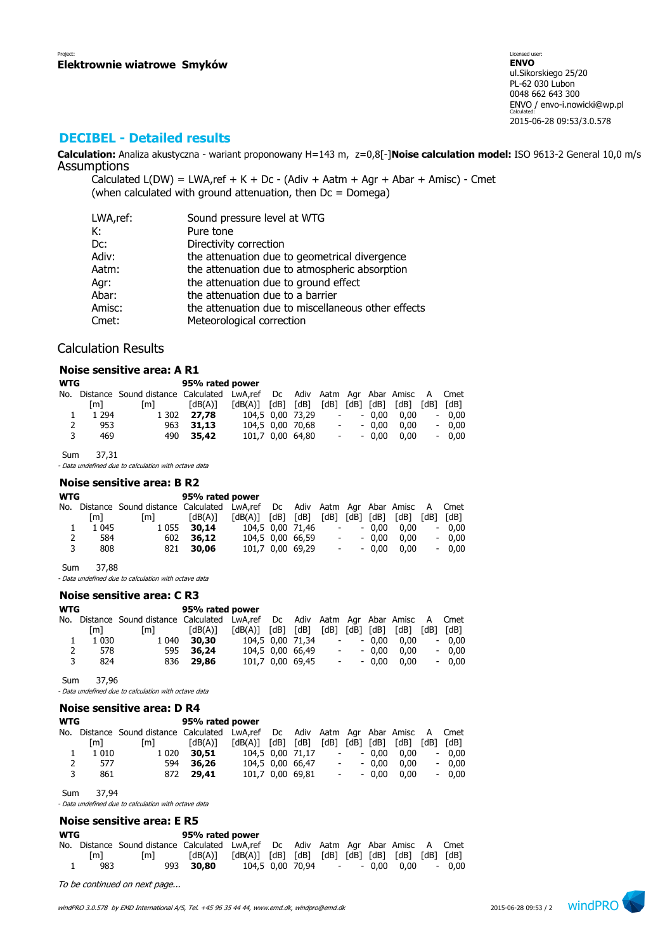### **DECIBEL - Detailed results**

**Calculation:** Analiza akustyczna - wariant proponowany H=143 m, z=0,8[-]**Noise calculation model:** ISO 9613-2 General 10,0 m/s Assumptions

Calculated  $L(DW) = LWA$ , ref + K + Dc - (Adiv + Aatm + Agr + Abar + Amisc) - Cmet (when calculated with ground attenuation, then  $Dc = D$ omega)

| LWA,ref: | Sound pressure level at WTG                        |
|----------|----------------------------------------------------|
| К:       | Pure tone                                          |
| Dc:      | Directivity correction                             |
| Adiv:    | the attenuation due to geometrical divergence      |
| Aatm:    | the attenuation due to atmospheric absorption      |
| Agr:     | the attenuation due to ground effect               |
| Abar:    | the attenuation due to a barrier                   |
| Amisc:   | the attenuation due to miscellaneous other effects |
| Cmet:    | Meteorological correction                          |

### Calculation Results

#### **Noise sensitive area: A R1**

| <b>WTG</b> |         |                                                                                   | 95% rated power |                         |                  |                |                  |         |      |      |         |
|------------|---------|-----------------------------------------------------------------------------------|-----------------|-------------------------|------------------|----------------|------------------|---------|------|------|---------|
|            |         | No. Distance Sound distance Calculated LwA,ref Dc Adiv Aatm Agr Abar Amisc A Cmet |                 |                         |                  |                |                  |         |      |      |         |
|            | [m]     | [m]                                                                               | [dB(A)]         | $[dB(A)]$ $[dB]$ $[dB]$ |                  | [dB] [dB] [dB] |                  |         | [dB] | [dB] | [dB]    |
|            | 1 2 9 4 | 1 302                                                                             | 27.78           |                         | 104.5 0.00 73.29 |                | $\sim$ 100 $\mu$ | $-0.00$ | 0.00 |      | $-0.00$ |
| 2          | 953     |                                                                                   | 963 31.13       |                         | 104,5 0,00 70,68 |                | $\sim 100$       | $-0.00$ | 0.00 |      | $-0.00$ |
| 3          | 469     |                                                                                   | 490 35.42       |                         | 101.7 0.00 64.80 |                | $\sim 100$       | $-0.00$ | 0.00 |      | $-0.00$ |

Sum 37,31

- Data undefined due to calculation with octave data

#### **Noise sensitive area: B R2**

| <b>WTG</b> |         |                                                                                   | 95% rated power |                         |                  |                          |                |      |           |
|------------|---------|-----------------------------------------------------------------------------------|-----------------|-------------------------|------------------|--------------------------|----------------|------|-----------|
|            |         | No. Distance Sound distance Calculated LwA,ref Dc Adiv Aatm Agr Abar Amisc A Cmet |                 |                         |                  |                          |                |      |           |
|            | [m]     | [m]                                                                               | [dB(A)]         | $[dB(A)]$ $[dB]$ $[dB]$ |                  |                          | [dB] [dB] [dB] | [dB] | [dB] [dB] |
|            | 1 0 4 5 | 1 0 5 5                                                                           | 30,14           | 104.5 0.00 71.46        |                  | $\overline{\phantom{a}}$ | $-0.00$        | 0.00 | $-0.00$   |
| 2          | 584     |                                                                                   | 602 36.12       |                         | 104.5 0.00 66.59 | $\overline{\phantom{a}}$ | $-0.00$        | 0.00 | $-0.00$   |
| 3          | 808     |                                                                                   | 821 30.06       |                         | 101,7 0,00 69,29 | $\sim$                   | $-0.00$        | 0.00 | $-0.00$   |
|            |         |                                                                                   |                 |                         |                  |                          |                |      |           |

Sum 37,88

- Data undefined due to calculation with octave data

### **Noise sensitive area: C R3**

| <b>WTG</b> |         |                                                                                   | 95% rated power |                         |                  |                          |         |      |                          |         |
|------------|---------|-----------------------------------------------------------------------------------|-----------------|-------------------------|------------------|--------------------------|---------|------|--------------------------|---------|
|            |         | No. Distance Sound distance Calculated LwA,ref Dc Adiv Aatm Agr Abar Amisc A Cmet |                 |                         |                  |                          |         |      |                          |         |
|            | [m]     | [m]                                                                               | [dB(A)]         | $[dB(A)]$ $[dB]$ $[dB]$ |                  | $[dB]$ $[dB]$ $[dB]$     |         | [dB] | [dB]                     | [dB]    |
|            | 1 0 3 0 | 1 040                                                                             | 30,30           |                         | 104.5 0.00 71.34 | $\overline{\phantom{a}}$ | $-0.00$ | 0.00 | $\overline{\phantom{a}}$ | 0.00    |
| 2          | 578     |                                                                                   | 595 36.24       |                         | 104,5 0,00 66,49 | $\overline{\phantom{a}}$ | $-0.00$ | 0.00 |                          | $-0.00$ |
| 3          | 824     |                                                                                   | 836 29,86       |                         | 101,7 0,00 69,45 | $\sim$                   | $-0.00$ | 0.00 |                          | $-0.00$ |

Sum 37,96

- Data undefined due to calculation with octave data

|            | Noise sensitive area: D R4 |                                                                              |                 |         |      |                  |                          |               |         |      |      |         |  |
|------------|----------------------------|------------------------------------------------------------------------------|-----------------|---------|------|------------------|--------------------------|---------------|---------|------|------|---------|--|
| <b>WTG</b> |                            |                                                                              | 95% rated power |         |      |                  |                          |               |         |      |      |         |  |
|            |                            | No. Distance Sound distance Calculated LwA,ref Dc Adiv Aatm Agr Abar Amisc A |                 |         |      |                  |                          |               |         |      |      | Cmet    |  |
|            | [m]                        | [m]                                                                          | [dB(A)]         | [dB(A)] | [dB] | [dB]             |                          | $[dB]$ $[dB]$ | [dB]    | [dB] | [dB] | [dB]    |  |
|            | 1 0 1 0                    | 1 0 2 0                                                                      | 30,51           |         |      | 104,5 0,00 71,17 |                          |               | $-0.00$ | 0.00 |      | $-0,00$ |  |
| 2          | 577                        | 594                                                                          | 36,26           |         |      | 104,5 0,00 66,47 | $\overline{\phantom{a}}$ |               | $-0.00$ | 0.00 |      | $-0,00$ |  |
| 3          | 861                        | 872                                                                          | 29,41           |         |      | 101,7 0,00 69,81 |                          | $\sim$        | $-0.00$ | 0.00 |      | $-0.00$ |  |
|            |                            |                                                                              |                 |         |      |                  |                          |               |         |      |      |         |  |

Sum 37,94

- Data undefined due to calculation with octave data

# **Noise sensitive area: E R5**

| WTG |     |                                                                                   | 95% rated power                                                                                                                                                                  |  |  |  |                                |         |
|-----|-----|-----------------------------------------------------------------------------------|----------------------------------------------------------------------------------------------------------------------------------------------------------------------------------|--|--|--|--------------------------------|---------|
|     |     | No. Distance Sound distance Calculated LwA,ref Dc Adiv Aatm Agr Abar Amisc A Cmet |                                                                                                                                                                                  |  |  |  |                                |         |
|     | [m] | l m I                                                                             | $\lceil dB(A) \rceil$ $\lceil dB(A) \rceil$ $\lceil dB \rceil$ $\lceil dB \rceil$ $\lceil dB \rceil$ $\lceil dB \rceil$ $\lceil dB \rceil$ $\lceil dB \rceil$ $\lceil dB \rceil$ |  |  |  |                                |         |
|     | 983 |                                                                                   | 993 30.80                                                                                                                                                                        |  |  |  | 104.5 0.00 70.94 - - 0.00 0.00 | $-0.00$ |

To be continued on next page...

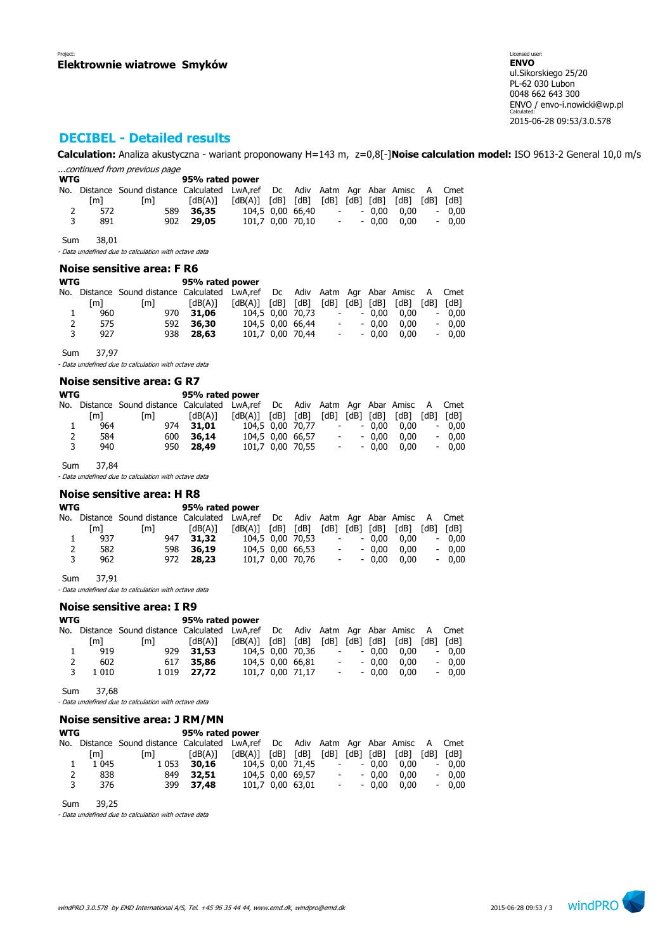# **DECIBEL - Detailed results**

**Calculation:** Analiza akustyczna - wariant proponowany H=143 m, z=0,8[-]**Noise calculation model:** ISO 9613-2 General 10,0 m/s ...continued from previous page

| <b>WTG</b> |     |                                                                                   | 95% rated power |                   |                  |                     |                    |         |      |      |         |
|------------|-----|-----------------------------------------------------------------------------------|-----------------|-------------------|------------------|---------------------|--------------------|---------|------|------|---------|
|            |     | No. Distance Sound distance Calculated LwA,ref Dc Adiv Aatm Agr Abar Amisc A Cmet |                 |                   |                  |                     |                    |         |      |      |         |
|            | [m] | [m]                                                                               | [dB(A)]         | [dB(A)] [dB] [dB] |                  | [dB] [dB] [dB] [dB] |                    |         |      | [dB] | [dB]    |
|            | 572 | 589                                                                               | 36,35           |                   | 104.5 0.00 66.40 |                     | $\sim 100$         | $-0.00$ | 0.00 |      | $-0.00$ |
| 3          | 891 |                                                                                   | 902 29,05       |                   | 101.7 0.00 70.10 |                     | <b>All Control</b> | - 0.00  | 0.00 |      | $-0.00$ |

Sum 38,01

- Data undefined due to calculation with octave data

### **Noise sensitive area: F R6**

| WTG |     |                                                                               | 95% rated power |                         |                  |                          |            |                |      |      |         |
|-----|-----|-------------------------------------------------------------------------------|-----------------|-------------------------|------------------|--------------------------|------------|----------------|------|------|---------|
| No. |     | Distance Sound distance Calculated LwA,ref Dc Adiv Aatm Agr Abar Amisc A Cmet |                 |                         |                  |                          |            |                |      |      |         |
|     | [m] | [m]                                                                           | [dB(A)]         | $[dB(A)]$ $[dB]$ $[dB]$ |                  |                          |            | [dB] [dB] [dB] | [dB] | [dB] | [dB]    |
| ı   | 960 |                                                                               | 970 31.06       |                         | 104.5 0.00 70.73 |                          | $\sim 100$ | $-0.00$        | 0.00 |      | $-0.00$ |
| 2   | 575 | 592                                                                           | 36,30           |                         | 104.5 0.00 66.44 | $\overline{\phantom{a}}$ |            | $-0.00$        | 0.00 |      | $-0.00$ |
| 3   | 927 |                                                                               | 938 28.63       |                         | 101,7 0,00 70,44 | $\overline{\phantom{a}}$ |            | $-0.00$        | 0.00 |      | $-0.00$ |
|     |     |                                                                               |                 |                         |                  |                          |            |                |      |      |         |

Sum 37,97

- Data undefined due to calculation with octave data

#### **Noise sensitive area: G R7**

| <b>WTG</b> |     |                                                                                   | 95% rated power |                         |                  |                          |                  |         |      |                          |      |
|------------|-----|-----------------------------------------------------------------------------------|-----------------|-------------------------|------------------|--------------------------|------------------|---------|------|--------------------------|------|
|            |     | No. Distance Sound distance Calculated LwA,ref Dc Adiv Aatm Agr Abar Amisc A Cmet |                 |                         |                  |                          |                  |         |      |                          |      |
|            | [m] | [m]                                                                               | [dB(A)]         | $[dB(A)]$ $[dB]$ $[dB]$ |                  | [dB] [dB] [dB]           |                  |         | [dB] | [dB]                     | [dB] |
|            | 964 | 974                                                                               | 31.01           |                         | 104.5 0.00 70.77 | $\overline{\phantom{a}}$ |                  | $-0.00$ | 0.00 | $\overline{\phantom{a}}$ | 0.00 |
| 2          | 584 | 600                                                                               | 36,14           |                         | 104.5 0.00 66.57 |                          | $\sim$ 100 $\mu$ | $-0.00$ | 0.00 | $\overline{\phantom{a}}$ | 0.00 |
| 3          | 940 |                                                                                   | 950 28.49       |                         | 101.7 0.00 70.55 |                          | $\sim 100$       | $-0.00$ | 0.00 | $\overline{\phantom{0}}$ | 0.00 |
|            |     |                                                                                   |                 |                         |                  |                          |                  |         |      |                          |      |

Sum 37,84

- Data undefined due to calculation with octave data

### **Noise sensitive area: H R8**

| WTG |     | 95% rated power                                                                   |           |                         |  |                  |            |         |                             |      |         |
|-----|-----|-----------------------------------------------------------------------------------|-----------|-------------------------|--|------------------|------------|---------|-----------------------------|------|---------|
|     |     | No. Distance Sound-distance Calculated LwA,ref Dc Adiv Aatm Agr Abar Amisc A Cmet |           |                         |  |                  |            |         |                             |      |         |
|     | [m] | [m]                                                                               | [dB(A)]   | $[dB(A)]$ $[dB]$ $[dB]$ |  |                  |            |         | $[dB]$ $[dB]$ $[dB]$ $[dB]$ | [dB] | [dB]    |
|     | 937 | 947                                                                               | 31,32     |                         |  | 104.5 0.00 70.53 | $\sim 100$ | $-0.00$ | 0.00                        |      | $-0,00$ |
| 2   | 582 |                                                                                   | 598 36.19 |                         |  | 104,5 0,00 66,53 | $\sim 100$ | $-0.00$ | 0.00                        |      | $-0.00$ |
| 3   | 962 | 972                                                                               | 28,23     |                         |  | 101.7 0.00 70.76 | $\sim 100$ | $-0.00$ | 0.00                        |      | $-0.00$ |
|     |     |                                                                                   |           |                         |  |                  |            |         |                             |      |         |

Sum 37,91

- Data undefined due to calculation with octave data

#### **Noise sensitive area: I R9**

| WTG |         |                                                                               | 95% rated power |                         |  |                  |      |            |           |      |      |         |
|-----|---------|-------------------------------------------------------------------------------|-----------------|-------------------------|--|------------------|------|------------|-----------|------|------|---------|
| No. |         | Distance Sound distance Calculated LwA,ref Dc Adiv Aatm Agr Abar Amisc A Cmet |                 |                         |  |                  |      |            |           |      |      |         |
|     | [m]     | $\lceil m \rceil$                                                             | [dB(A)]         | $[dB(A)]$ $[dB]$ $[dB]$ |  |                  | [dB] |            | [dB] [dB] | [dB] | [dB] | [dB]    |
|     | 919     |                                                                               | 929 31.53       | 104.5 0.00 70.36        |  |                  |      | $\sim 100$ | $-0.00$   | 0.00 |      | $-0.00$ |
| 2   | 602     | 617                                                                           | 35,86           |                         |  | 104,5 0,00 66,81 |      | $\sim 100$ | $-0.00$   | 0.00 |      | $-0.00$ |
| 3   | 1 0 1 0 |                                                                               | 1 0 19 27.72    |                         |  | 101,7 0,00 71,17 |      | $\sim 100$ | $-0.00$   | 0.00 |      | $-0.00$ |
|     |         |                                                                               |                 |                         |  |                  |      |            |           |      |      |         |

Sum 37,68

- Data undefined due to calculation with octave data

### **Noise sensitive area: J RM/MN**

| <b>WTG</b> |         | 95% rated power                                                               |           |                         |  |                  |                |            |         |                |        |         |
|------------|---------|-------------------------------------------------------------------------------|-----------|-------------------------|--|------------------|----------------|------------|---------|----------------|--------|---------|
| No.        |         | Distance Sound distance Calculated LwA,ref Dc Adiv Aatm Agr Abar Amisc A Cmet |           |                         |  |                  |                |            |         |                |        |         |
|            | [m]     | [m]                                                                           | [dB(A)]   | $[dB(A)]$ $[dB]$ $[dB]$ |  |                  | [dB] [dB] [dB] |            |         | [dB]           | [dB]   | [dB]    |
|            | 1 0 4 5 | 1 0 5 3                                                                       | 30,16     |                         |  | 104,5 0,00 71,45 |                | $\sim 100$ |         | $-0.00$ $0.00$ | $\sim$ | 0.00    |
| 2          | 838     | 849                                                                           | 32.51     |                         |  | 104.5 0.00 69.57 |                | $\sim 100$ | $-0.00$ | 0.00           |        | $-0.00$ |
| 3          | 376     |                                                                               | 399 37,48 |                         |  | 101,7 0,00 63,01 |                | $\sim 100$ | $-0.00$ | 0.00           |        | $-0.00$ |

Sum 39,25

- Data undefined due to calculation with octave data

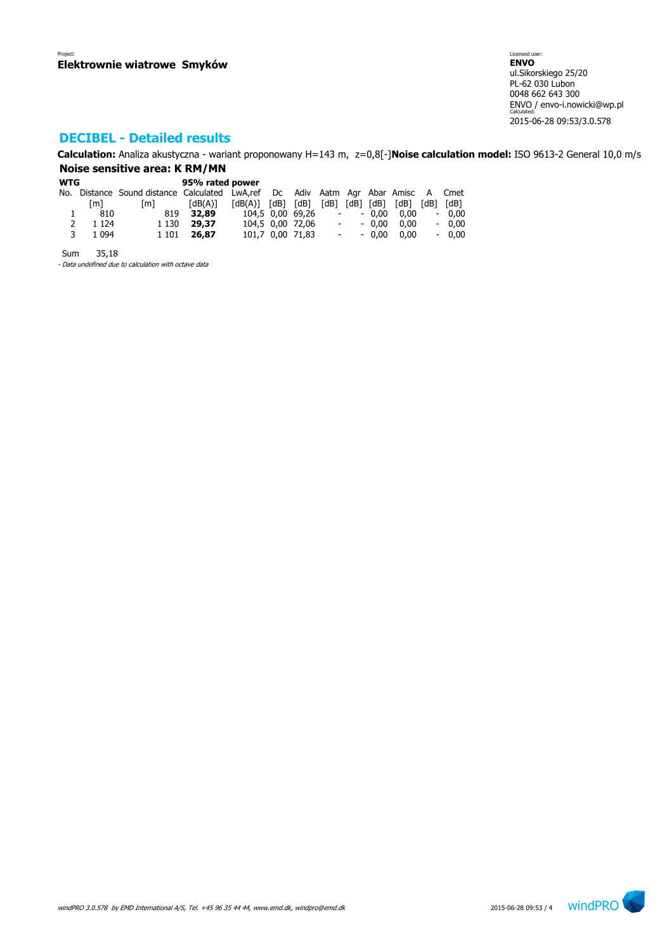# **DECIBEL - Detailed results**

**Calculation:** Analiza akustyczna - wariant proponowany H=143 m, z=0,8[-]**Noise calculation model:** ISO 9613-2 General 10,0 m/s **Noise sensitive area: K RM/MN**

### **WTG 95% rated power** No. Distance Sound distance Calculated LwA,ref Dc Adiv Aatm Agr Abar Amisc A Cmet [m] [m] [dB(A)] [dB(A)] [dB] [dB] [dB] [dB] [dB] [dB] [dB] [dB] 1 810 819 **32,89** 104,5 0,00 69,26 - - 0,00 0,00 - 0,00 2 1 124 1 130 **29,37** 104,5 0,00 72,06 - - 0,00 0,00 - 0,00 3 1 094 1 101 **26,87** 101,7 0,00 71,83 - - 0,00 0,00 - 0,00

Sum 35,18

- Data undefined due to calculation with octave data

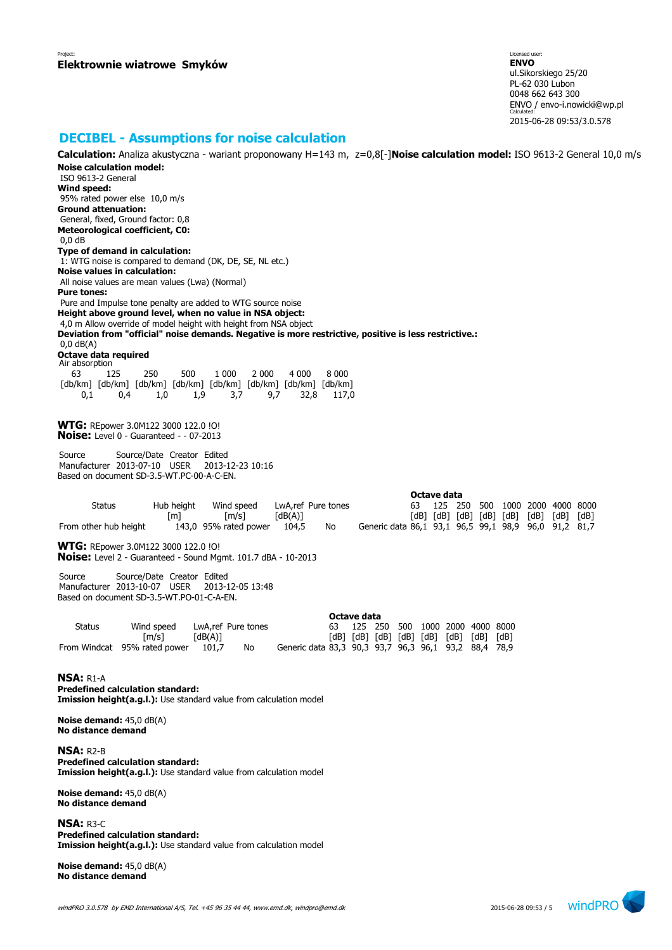### **DECIBEL - Assumptions for noise calculation**

**Calculation:** Analiza akustyczna - wariant proponowany H=143 m, z=0,8[-]**Noise calculation model:** ISO 9613-2 General 10,0 m/s **Noise calculation model:** ISO 9613-2 General **Wind speed:** 95% rated power else 10,0 m/s **Ground attenuation:** General, fixed, Ground factor: 0,8 **Meteorological coefficient, C0:** 0,0 dB **Type of demand in calculation:** 1: WTG noise is compared to demand (DK, DE, SE, NL etc.) **Noise values in calculation:** All noise values are mean values (Lwa) (Normal) **Pure tones:** Pure and Impulse tone penalty are added to WTG source noise **Height above ground level, when no value in NSA object:** 4,0 m Allow override of model height with height from NSA object **Deviation from "official" noise demands. Negative is more restrictive, positive is less restrictive.:** 0,0 dB(A) **Octave data required** Air absorption 63 125 250 500 1 000 2 000 4 000 8 000 [db/km] [db/km] [db/km] [db/km] [db/km] [db/km] [db/km] [db/km] 0,1 0,4 1,0 1,9 3,7 9,7 32,8 117,0 **WTG:** REpower 3.0M122 3000 122.0 !O! **Noise:** Level 0 - Guaranteed - - 07-2013 Source Source/Date Creator Edited Manufacturer 2013-07-10 USER 2013-12-23 10:16 Based on document SD-3.5-WT.PC-00-A-C-EN. **Octave data** Status Hub height Wind speed LwA,ref Pure tones 63 125 250 500 1000 2000 4000 8000 [m] [m/s] [dB(A)] [dB] [dB] [dB] [dB] [dB] [dB] [dB] [dB] From other hub height 143,0 95% rated power 104,5 No Generic data 86,1 93,1 96,5 99,1 98,9 96,0 91,2 81,7 **WTG:** REpower 3.0M122 3000 122.0 !O! **Noise:** Level 2 - Guaranteed - Sound Mgmt. 101.7 dBA - 10-2013 Source Source/Date Creator Edited Manufacturer 2013-10-07 USER 2013-12-05 13:48 Based on document SD-3.5-WT.PO-01-C-A-EN. **Octave data** Status Wind speed LwA,ref Pure tones 63 125 250 500 1000 2000 4000 8000 [m/s] [dB(A)] [dB] [dB] [dB] [dB] [dB] [dB] [dB] [dB] 101,7 No Generic data 83,3 90,3 93,7 96,3 96,1 93,2 88,4 78,9 **NSA:** R1-A **Predefined calculation standard: Imission height(a.g.l.):** Use standard value from calculation model **Noise demand:** 45,0 dB(A) **No distance demand NSA:** R2-B **Predefined calculation standard: Imission height(a.g.l.):** Use standard value from calculation model

**Noise demand:** 45,0 dB(A) **No distance demand**

**NSA:** R3-C **Predefined calculation standard: Imission height(a.g.l.):** Use standard value from calculation model

**Noise demand:** 45,0 dB(A) **No distance demand**